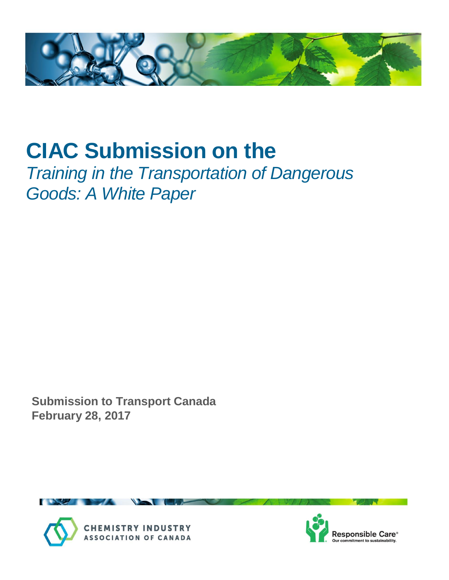

# **CIAC Submission on the**  *Training in the Transportation of Dangerous Goods: A White Paper*

**Submission to Transport Canada February 28, 2017**





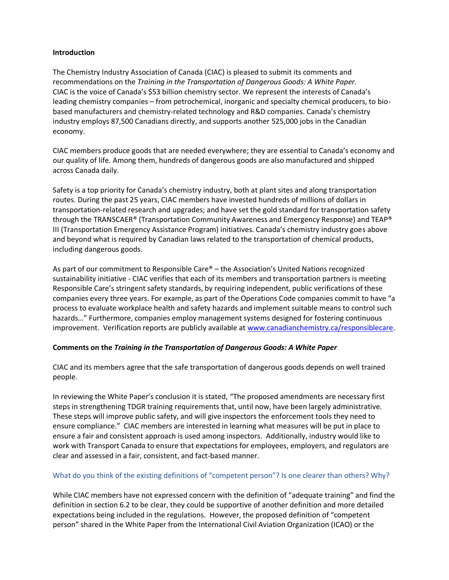#### **Introduction**

The Chemistry Industry Association of Canada (CIAC) is pleased to submit its comments and recommendations on the *Training in the Transportation of Dangerous Goods: A White Paper.* CIAC is the voice of Canada's \$53 billion chemistry sector. We represent the interests of Canada's leading chemistry companies – from petrochemical, inorganic and specialty chemical producers, to biobased manufacturers and chemistry-related technology and R&D companies. Canada's chemistry industry employs 87,500 Canadians directly, and supports another 525,000 jobs in the Canadian economy.

CIAC members produce goods that are needed everywhere; they are essential to Canada's economy and our quality of life. Among them, hundreds of dangerous goods are also manufactured and shipped across Canada daily.

Safety is a top priority for Canada's chemistry industry, both at plant sites and along transportation routes. During the past 25 years, CIAC members have invested hundreds of millions of dollars in transportation-related research and upgrades; and have set the gold standard for transportation safety through the TRANSCAER® (Transportation Community Awareness and Emergency Response) and TEAP® III (Transportation Emergency Assistance Program) initiatives. Canada's chemistry industry goes above and beyond what is required by Canadian laws related to the transportation of chemical products, including dangerous goods.

As part of our commitment to Responsible Care® – the Association's United Nations recognized sustainability initiative - CIAC verifies that each of its members and transportation partners is meeting Responsible Care's stringent safety standards, by requiring independent, public verifications of these companies every three years. For example, as part of the Operations Code companies commit to have "a process to evaluate workplace health and safety hazards and implement suitable means to control such hazards…" Furthermore, companies employ management systems designed for fostering continuous improvement. Verification reports are publicly available at [www.canadianchemistry.ca/responsiblecare.](http://www.canadianchemistry.ca/responsiblecare)

### **Comments on the** *Training in the Transportation of Dangerous Goods: A White Paper*

CIAC and its members agree that the safe transportation of dangerous goods depends on well trained people.

In reviewing the White Paper's conclusion it is stated, "The proposed amendments are necessary first steps in strengthening TDGR training requirements that, until now, have been largely administrative. These steps will improve public safety, and will give inspectors the enforcement tools they need to ensure compliance." CIAC members are interested in learning what measures will be put in place to ensure a fair and consistent approach is used among inspectors. Additionally, industry would like to work with Transport Canada to ensure that expectations for employees, employers, and regulators are clear and assessed in a fair, consistent, and fact-based manner.

### [What do you think of the existing definitions of "competent person"? Is one clearer than others? Why?](http://www.letstalktransportation.ca/part6/forum_topics/what-do-you-think-of-the-existing-definitions-of-competent-person-is-one-clearer-than-others-why)

While CIAC members have not expressed concern with the definition of "adequate training" and find the definition in section 6.2 to be clear, they could be supportive of another definition and more detailed expectations being included in the regulations. However, the proposed definition of "competent person" shared in the White Paper from the International Civil Aviation Organization (ICAO) or the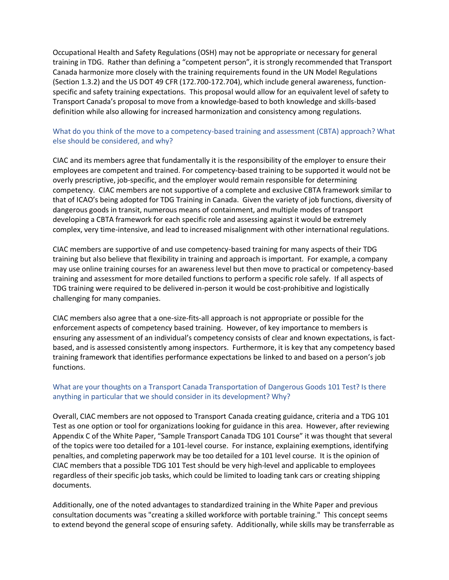Occupational Health and Safety Regulations (OSH) may not be appropriate or necessary for general training in TDG. Rather than defining a "competent person", it is strongly recommended that Transport Canada harmonize more closely with the training requirements found in the UN Model Regulations (Section 1.3.2) and the US DOT 49 CFR (172.700-172.704), which include general awareness, functionspecific and safety training expectations. This proposal would allow for an equivalent level of safety to Transport Canada's proposal to move from a knowledge-based to both knowledge and skills-based definition while also allowing for increased harmonization and consistency among regulations.

## [What do you think of the move to a competency-based training and assessment](http://www.letstalktransportation.ca/part6/forum_topics/what-do-you-think-of-the-move-to-a-competency-based-training-and-assessment-approach-should-other-elements-be-considered-why) (CBTA) approach? What [else should be considered, and why?](http://www.letstalktransportation.ca/part6/forum_topics/what-do-you-think-of-the-move-to-a-competency-based-training-and-assessment-approach-should-other-elements-be-considered-why)

CIAC and its members agree that fundamentally it is the responsibility of the employer to ensure their employees are competent and trained. For competency-based training to be supported it would not be overly prescriptive, job-specific, and the employer would remain responsible for determining competency. CIAC members are not supportive of a complete and exclusive CBTA framework similar to that of ICAO's being adopted for TDG Training in Canada. Given the variety of job functions, diversity of dangerous goods in transit, numerous means of containment, and multiple modes of transport developing a CBTA framework for each specific role and assessing against it would be extremely complex, very time-intensive, and lead to increased misalignment with other international regulations.

CIAC members are supportive of and use competency-based training for many aspects of their TDG training but also believe that flexibility in training and approach is important. For example, a company may use online training courses for an awareness level but then move to practical or competency-based training and assessment for more detailed functions to perform a specific role safely. If all aspects of TDG training were required to be delivered in-person it would be cost-prohibitive and logistically challenging for many companies.

CIAC members also agree that a one-size-fits-all approach is not appropriate or possible for the enforcement aspects of competency based training. However, of key importance to members is ensuring any assessment of an individual's competency consists of clear and known expectations, is factbased, and is assessed consistently among inspectors. Furthermore, it is key that any competency based training framework that identifies performance expectations be linked to and based on a person's job functions.

## [What are your thoughts on a Transport Canada Transportation of Dangerous Goods 101 Test? Is there](http://www.letstalktransportation.ca/part6/forum_topics/what-are-your-thoughts-on-a-transport-canada-transportation-of-dangerous-goods-101-test-is-there-anything-in-particular-that-we-should-consider-in-its-development-why)  [anything in particular that we should consider in its development? Why?](http://www.letstalktransportation.ca/part6/forum_topics/what-are-your-thoughts-on-a-transport-canada-transportation-of-dangerous-goods-101-test-is-there-anything-in-particular-that-we-should-consider-in-its-development-why)

Overall, CIAC members are not opposed to Transport Canada creating guidance, criteria and a TDG 101 Test as one option or tool for organizations looking for guidance in this area. However, after reviewing Appendix C of the White Paper, "Sample Transport Canada TDG 101 Course" it was thought that several of the topics were too detailed for a 101-level course. For instance, explaining exemptions, identifying penalties, and completing paperwork may be too detailed for a 101 level course. It is the opinion of CIAC members that a possible TDG 101 Test should be very high-level and applicable to employees regardless of their specific job tasks, which could be limited to loading tank cars or creating shipping documents.

Additionally, one of the noted advantages to standardized training in the White Paper and previous consultation documents was "creating a skilled workforce with portable training." This concept seems to extend beyond the general scope of ensuring safety. Additionally, while skills may be transferrable as